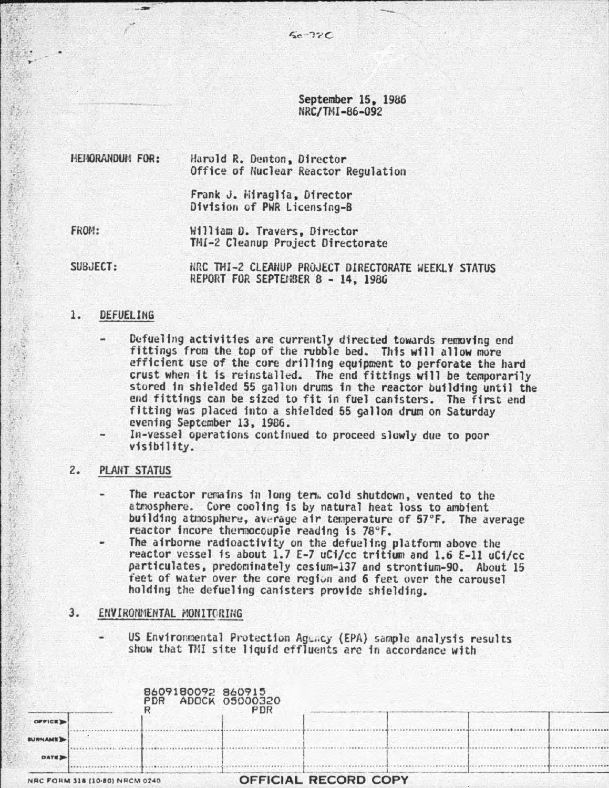September 15. 1986 NRC/TMI-86-092

HEHORANDUM FOR: Harold R. Denton, Director Office of Nuclear Reactor Regulation

> Frank J. i·ii raglfa. 01 rector Division of PWR Licensing-B

-- --

FROM:

的人名

William D. Travers. Director TMI-2 Cleanup Project Directorate

SUBJECT:

HRC THI-2 CLEANUP PROJECT DIRECTORATE WEEKLY STATUS REPORT FOR SEPTEMBER 8 - 14, 1986

## 1. DEFUELING

Defueling activities are currently directed towards removing end fittings from the top of the rubble bed. This will allow more efficient use of the cure drilling equipment to perforate the hard crust when it is reinstalled. The end fittings will be temporarily stored in shielded 55 gallon drums in the reactor building until the end fittings can be sized to fit in fuel canisters. The first end fitting was placed into a shielded 55 gallon drum on Saturday evening September 13, 1986.

In-vessel operations continued to proceed slowly due to poor visibility.

2. PLANT STATUS

The reactor remains in long term. cold shutdown, vented to the atmosphere. Core cooling is by natural heat loss to ambient building atmosphere, average air temperature of 57°F. The average reactor incore thermocouple reading is 78°F.

The airborne radioactivity on the defueling platform above the reactor vessel is about 1.7 E-7 uCi/cc tritium and 1.6 E-ll uCf/cc particulates, predominately cesium-137 and strontium-90. About 15 feet of water over the core region and 6 feet over the carousel holding the defueling canisters provide shielding.

3. ENVIRONMENTAL MONITORING

US Environmental Protection Agency (EPA) sample analysis results show that TMI site liquid effluents are in accordance with

| NRC FORM 318 (10-80) NRCM 0240 |  |                                         |     | <b>OFFICIAL RECORD COPY</b> |  |  |
|--------------------------------|--|-----------------------------------------|-----|-----------------------------|--|--|
| <b>DATE</b>                    |  |                                         |     |                             |  |  |
| <b>SURNAME</b>                 |  |                                         |     |                             |  |  |
| OFFICE D                       |  |                                         |     |                             |  |  |
|                                |  | 8609180092 860915<br>PDR ADOCK 05000320 | PDR |                             |  |  |
|                                |  |                                         |     |                             |  |  |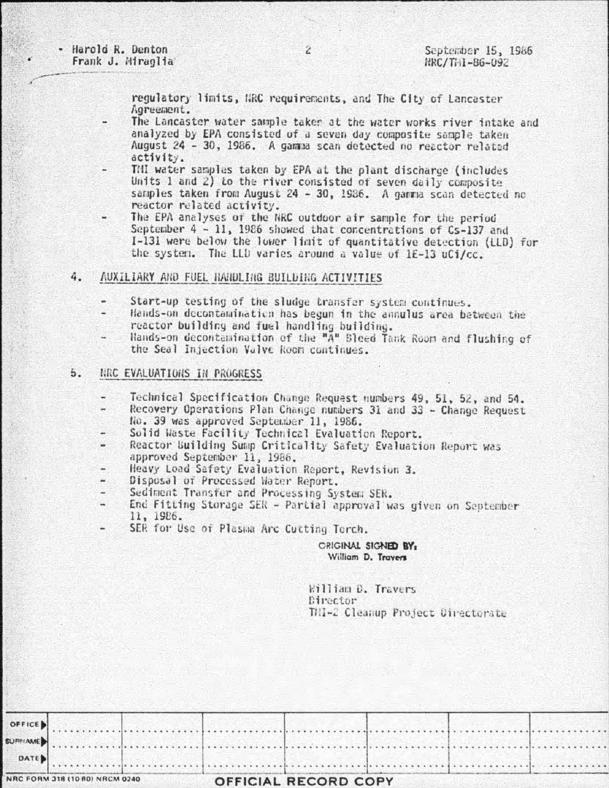- Harold R. Denton Frank J. Miraglia

regulatory limits, NRC requirements, and The City of Lancaster Agreement.

- The Lancaster water sample taker at the water works river intake and analyzed by EPA consisted of a seven day composite sample taken August 24 - 30, 1986. A gamma scan detected no reactor related activity.
- THI water samples taken by EPA at the plant discharge (includes) Units 1 and 2) to the river consisted of seven daily composite samples taken from August 24 - 30, 1986. A gamma scan detected no reactor related activity.
- The EPA analyses of the NRC outdoor air sample for the period September 4 - 11, 1986 showed that concentrations of Cs-137 and I-131 were below the lower limit of quantitative detection (LLD) for the system. The LLD varies around a value of 1E-13 uCi/cc.
- AUXILIARY AND FUEL HANDLING BUILDING ACTIVITIES 4.
	- Start-up testing of the sludge transfer system continues. u
	- Hands-on decontamination has begun in the annulus area between the reactor building and fuel handling building.
	- Hands-on decontamination of the "A" Bleed Tank Room and flushing of the Seal Injection Valve Room continues.

## $5.$ NRC EVALUATIONS IN PROGRESS

- Technical Specification Change Request numbers 49, 51, 52, and 54. Recovery Operations Plan Change numbers 31 and 33 - Change Request No. 39 was approved September 11, 1986.
- 
- Solid Waste Facility Technical Evaluation Report.
- Reactor Building Sump Criticality Safety Evaluation Report was  $\sim$ approved September 11, 1986.
- Heavy Load Safety Evaluation Report, Revision 3. i.
- Disposal of Processed Water Report.
- Sediment Transfer and Processing System SER.
- End Fitting Storage SER Partial approval was given on September 11, 1986.
- SER for Use of Plasma Arc Cutting Torch.

## ORIGINAL SIGNED BY. William D. Travers

William D. Travers Director TMI-2 Cleanup Project Directorate

| NRC FORM 318 (10 80) NRCM 0240 |  | OFFICIAL RECORD COPY |  |  |
|--------------------------------|--|----------------------|--|--|